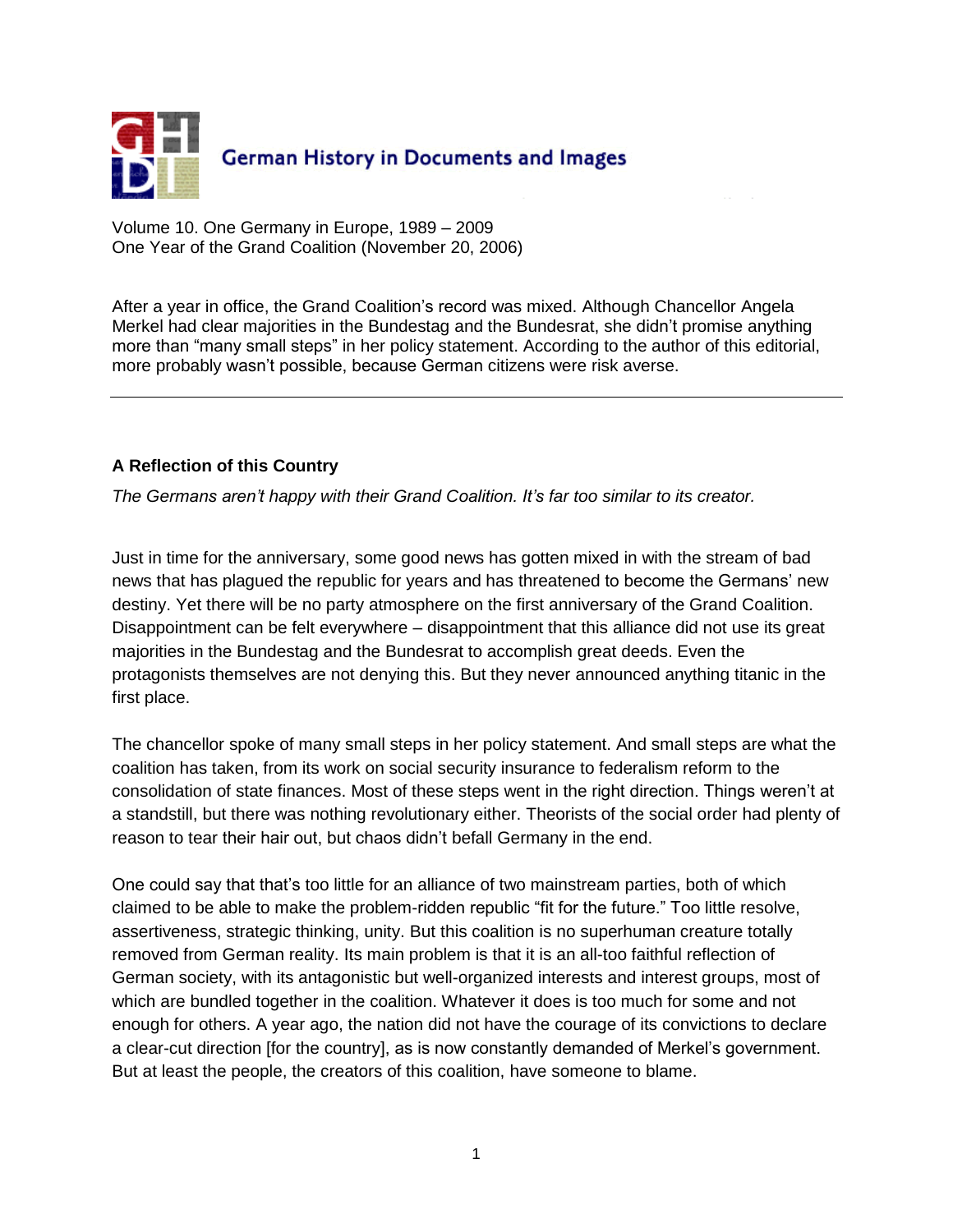

Volume 10. One Germany in Europe, 1989 – 2009 One Year of the Grand Coalition (November 20, 2006)

After a year in office, the Grand Coalition's record was mixed. Although Chancellor Angela Merkel had clear majorities in the Bundestag and the Bundesrat, she didn't promise anything more than "many small steps" in her policy statement. According to the author of this editorial, more probably wasn't possible, because German citizens were risk averse.

## **A Reflection of this Country**

*The Germans aren't happy with their Grand Coalition. It's far too similar to its creator.*

Just in time for the anniversary, some good news has gotten mixed in with the stream of bad news that has plagued the republic for years and has threatened to become the Germans' new destiny. Yet there will be no party atmosphere on the first anniversary of the Grand Coalition. Disappointment can be felt everywhere – disappointment that this alliance did not use its great majorities in the Bundestag and the Bundesrat to accomplish great deeds. Even the protagonists themselves are not denying this. But they never announced anything titanic in the first place.

The chancellor spoke of many small steps in her policy statement. And small steps are what the coalition has taken, from its work on social security insurance to federalism reform to the consolidation of state finances. Most of these steps went in the right direction. Things weren't at a standstill, but there was nothing revolutionary either. Theorists of the social order had plenty of reason to tear their hair out, but chaos didn't befall Germany in the end.

One could say that that's too little for an alliance of two mainstream parties, both of which claimed to be able to make the problem-ridden republic "fit for the future." Too little resolve, assertiveness, strategic thinking, unity. But this coalition is no superhuman creature totally removed from German reality. Its main problem is that it is an all-too faithful reflection of German society, with its antagonistic but well-organized interests and interest groups, most of which are bundled together in the coalition. Whatever it does is too much for some and not enough for others. A year ago, the nation did not have the courage of its convictions to declare a clear-cut direction [for the country], as is now constantly demanded of Merkel's government. But at least the people, the creators of this coalition, have someone to blame.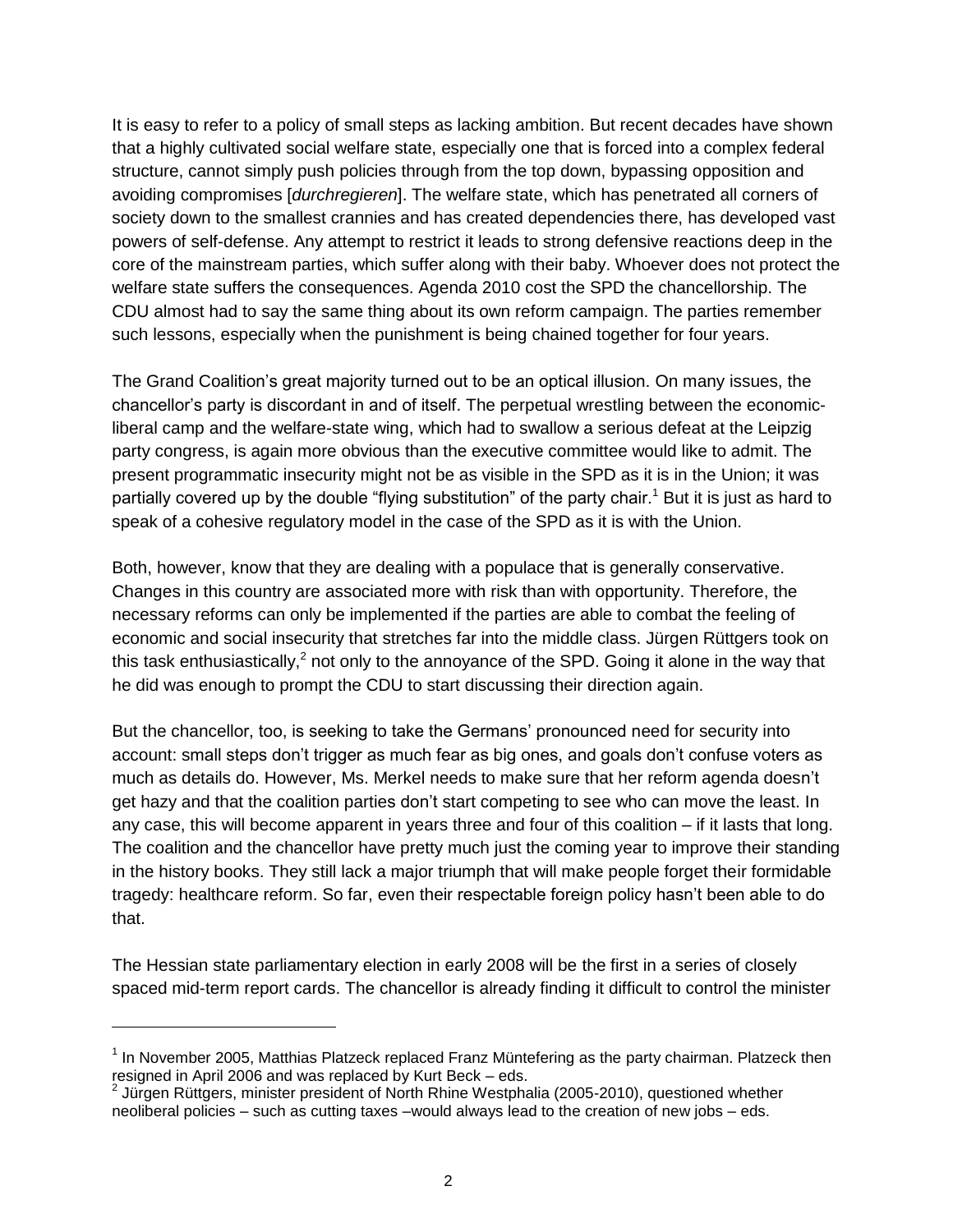It is easy to refer to a policy of small steps as lacking ambition. But recent decades have shown that a highly cultivated social welfare state, especially one that is forced into a complex federal structure, cannot simply push policies through from the top down, bypassing opposition and avoiding compromises [*durchregieren*]. The welfare state, which has penetrated all corners of society down to the smallest crannies and has created dependencies there, has developed vast powers of self-defense. Any attempt to restrict it leads to strong defensive reactions deep in the core of the mainstream parties, which suffer along with their baby. Whoever does not protect the welfare state suffers the consequences. Agenda 2010 cost the SPD the chancellorship. The CDU almost had to say the same thing about its own reform campaign. The parties remember such lessons, especially when the punishment is being chained together for four years.

The Grand Coalition's great majority turned out to be an optical illusion. On many issues, the chancellor's party is discordant in and of itself. The perpetual wrestling between the economicliberal camp and the welfare-state wing, which had to swallow a serious defeat at the Leipzig party congress, is again more obvious than the executive committee would like to admit. The present programmatic insecurity might not be as visible in the SPD as it is in the Union; it was partially covered up by the double "flying substitution" of the party chair.<sup>1</sup> But it is just as hard to speak of a cohesive regulatory model in the case of the SPD as it is with the Union.

Both, however, know that they are dealing with a populace that is generally conservative. Changes in this country are associated more with risk than with opportunity. Therefore, the necessary reforms can only be implemented if the parties are able to combat the feeling of economic and social insecurity that stretches far into the middle class. Jürgen Rüttgers took on this task enthusiastically,<sup>2</sup> not only to the annoyance of the SPD. Going it alone in the way that he did was enough to prompt the CDU to start discussing their direction again.

But the chancellor, too, is seeking to take the Germans' pronounced need for security into account: small steps don't trigger as much fear as big ones, and goals don't confuse voters as much as details do. However, Ms. Merkel needs to make sure that her reform agenda doesn't get hazy and that the coalition parties don't start competing to see who can move the least. In any case, this will become apparent in years three and four of this coalition – if it lasts that long. The coalition and the chancellor have pretty much just the coming year to improve their standing in the history books. They still lack a major triumph that will make people forget their formidable tragedy: healthcare reform. So far, even their respectable foreign policy hasn't been able to do that.

The Hessian state parliamentary election in early 2008 will be the first in a series of closely spaced mid-term report cards. The chancellor is already finding it difficult to control the minister

 $\overline{a}$ 

 $1$  In November 2005, Matthias Platzeck replaced Franz Müntefering as the party chairman. Platzeck then resigned in April 2006 and was replaced by Kurt Beck – eds.<br><sup>2</sup> Jürgen Rüttgers, minister president of North Rhine Westphalia (2005-2010), questioned whether

neoliberal policies – such as cutting taxes –would always lead to the creation of new jobs – eds.